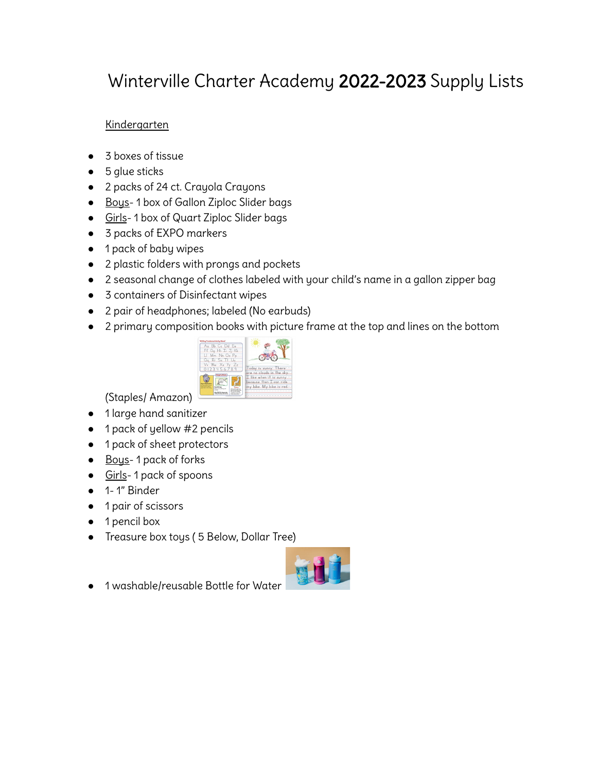# Winterville Charter Academy 2022-2023 Supply Lists

# Kindergarten

- 3 boxes of tissue
- 5 glue sticks
- 2 packs of 24 ct. Crayola Crayons
- Bous-1 box of Gallon Ziploc Slider bags
- Girls-1 box of Quart Ziploc Slider bags
- 3 packs of EXPO markers
- 1 pack of baby wipes
- 2 plastic folders with prongs and pockets
- 2 seasonal change of clothes labeled with your child's name in a gallon zipper bag
- 3 containers of Disinfectant wipes
- 2 pair of headphones; labeled (No earbuds)
- 2 primary composition books with picture frame at the top and lines on the bottom



(Staples/ Amazon)

- 1 large hand sanitizer
- 1 pack of yellow #2 pencils
- 1 pack of sheet protectors
- Bous-1 pack of forks
- Girls-1 pack of spoons
- 1- 1" Binder
- 1 pair of scissors
- 1 pencil box
- Treasure box toys ( 5 Below, Dollar Tree)



● 1 washable/reusable Bottle for Water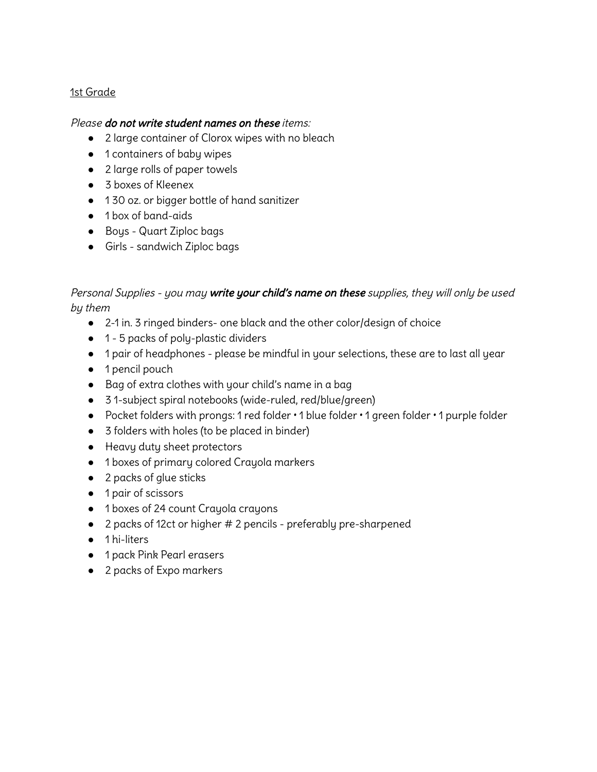## 1st Grade

#### Please do not write student names on these items:

- 2 large container of Clorox wipes with no bleach
- 1 containers of baby wipes
- 2 large rolls of paper towels
- 3 boxes of Kleenex
- 130 oz. or bigger bottle of hand sanitizer
- 1 box of band-aids
- Boys Quart Ziploc bags
- Girls sandwich Ziploc bags

# Personal Supplies - you may write your child's name on these supplies, they will only be used by them

- 2-1 in. 3 ringed binders- one black and the other color/design of choice
- 1 5 packs of poly-plastic dividers
- 1 pair of headphones please be mindful in your selections, these are to last all year
- 1 pencil pouch
- Bag of extra clothes with your child's name in a bag
- 3 1-subject spiral notebooks (wide-ruled, red/blue/green)
- Pocket folders with prongs: 1 red folder 1 blue folder 1 green folder 1 purple folder
- 3 folders with holes (to be placed in binder)
- Heavy duty sheet protectors
- 1 boxes of primary colored Crayola markers
- 2 packs of glue sticks
- 1 pair of scissors
- 1 boxes of 24 count Crayola crayons
- 2 packs of 12ct or higher # 2 pencils preferably pre-sharpened
- 1 hi-liters
- 1 pack Pink Pearl erasers
- 2 packs of Expo markers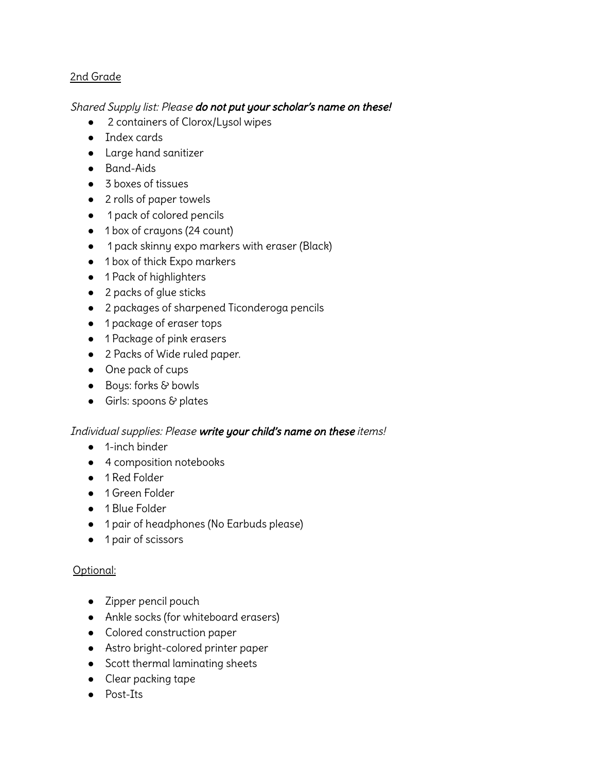## 2nd Grade

## Shared Supply list: Please do not put your scholar's name on these!

- 2 containers of Clorox/Lysol wipes
- Index cards
- Large hand sanitizer
- Band-Aids
- 3 boxes of tissues
- 2 rolls of paper towels
- 1 pack of colored pencils
- 1 box of crayons (24 count)
- 1 pack skinny expo markers with eraser (Black)
- 1 box of thick Expo markers
- 1 Pack of highlighters
- 2 packs of glue sticks
- 2 packages of sharpened Ticonderoga pencils
- 1 package of eraser tops
- 1 Package of pink erasers
- 2 Packs of Wide ruled paper.
- One pack of cups
- Boys: forks & bowls
- Girls: spoons & plates

## Individual supplies: Please write your child's name on these items!

- 1-inch binder
- 4 composition notebooks
- 1 Red Folder
- 1 Green Folder
- 1 Blue Folder
- 1 pair of headphones (No Earbuds please)
- 1 pair of scissors

## Optional:

- Zipper pencil pouch
- Ankle socks (for whiteboard erasers)
- Colored construction paper
- Astro bright-colored printer paper
- Scott thermal laminating sheets
- Clear packing tape
- Post-Its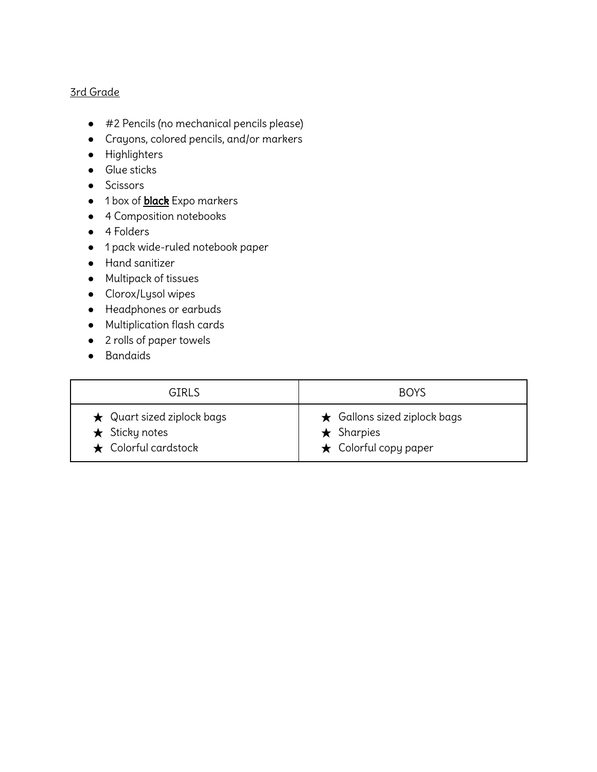#### 3rd Grade

- #2 Pencils (no mechanical pencils please)
- Crayons, colored pencils, and/or markers
- Highlighters
- Glue sticks
- Scissors
- 1 box of **black** Expo markers
- 4 Composition notebooks
- 4 Folders
- 1 pack wide-ruled notebook paper
- Hand sanitizer
- Multipack of tissues
- Clorox/Lysol wipes
- Headphones or earbuds
- Multiplication flash cards
- 2 rolls of paper towels
- Bandaids

| <b>GIRLS</b>                     | <b>BOYS</b>                        |
|----------------------------------|------------------------------------|
| $\star$ Quart sized ziplock bags | $\star$ Gallons sized ziplock bags |
| $\star$ Sticky notes             | $\star$ Sharpies                   |
| $\star$ Colorful cardstock       | $\star$ Colorful copy paper        |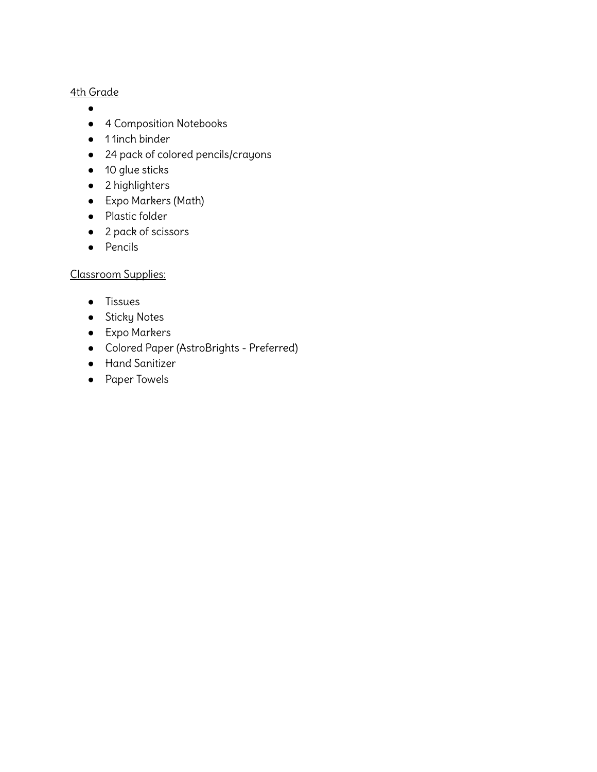- $\bullet$
- 4 Composition Notebooks
- 1 1inch binder
- 24 pack of colored pencils/crayons
- 10 glue sticks
- 2 highlighters
- Expo Markers (Math)
- Plastic folder
- 2 pack of scissors
- Pencils

# Classroom Supplies:

- Tissues
- **•** Sticky Notes
- Expo Markers
- Colored Paper (AstroBrights Preferred)
- Hand Sanitizer
- Paper Towels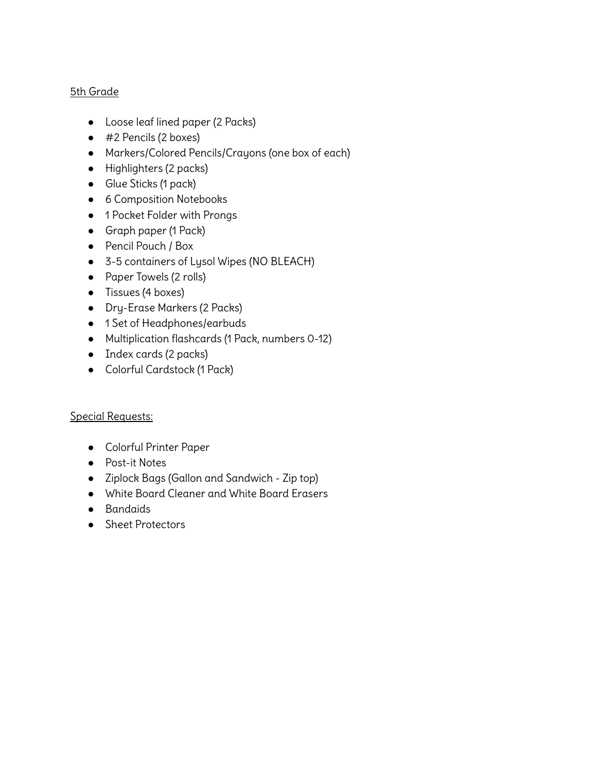- Loose leaf lined paper (2 Packs)
- #2 Pencils (2 boxes)
- Markers/Colored Pencils/Crayons (one box of each)
- Highlighters (2 packs)
- Glue Sticks (1 pack)
- 6 Composition Notebooks
- 1 Pocket Folder with Prongs
- Graph paper (1 Pack)
- Pencil Pouch / Box
- 3-5 containers of Lysol Wipes (NO BLEACH)
- Paper Towels (2 rolls)
- Tissues (4 boxes)
- Dry-Erase Markers (2 Packs)
- 1 Set of Headphones/earbuds
- Multiplication flashcards (1 Pack, numbers 0-12)
- Index cards (2 packs)
- Colorful Cardstock (1 Pack)

## Special Requests:

- Colorful Printer Paper
- Post-it Notes
- Ziplock Bags (Gallon and Sandwich Zip top)
- White Board Cleaner and White Board Erasers
- Bandaids
- Sheet Protectors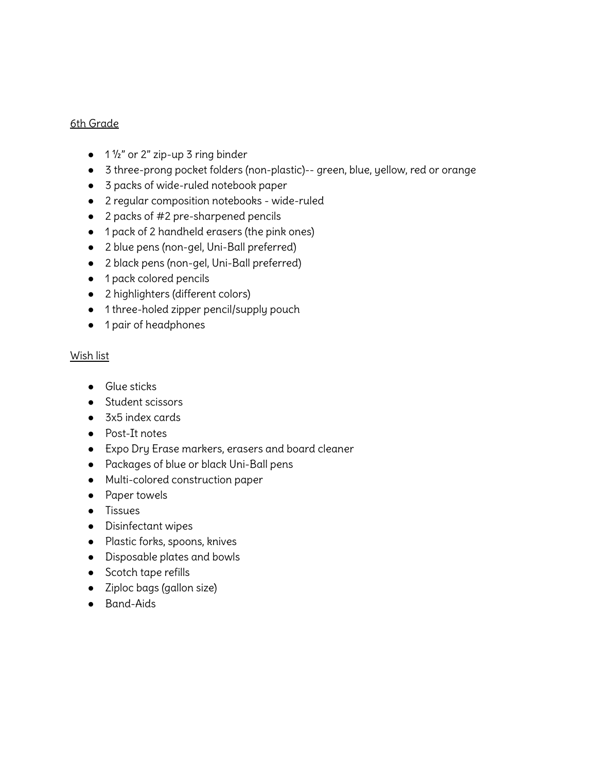- $\bullet$  1  $\frac{1}{2}$ " or 2" zip-up 3 ring binder
- 3 three-prong pocket folders (non-plastic)-- green, blue, yellow, red or orange
- 3 packs of wide-ruled notebook paper
- 2 regular composition notebooks wide-ruled
- 2 packs of #2 pre-sharpened pencils
- 1 pack of 2 handheld erasers (the pink ones)
- 2 blue pens (non-gel, Uni-Ball preferred)
- 2 black pens (non-gel, Uni-Ball preferred)
- 1 pack colored pencils
- 2 highlighters (different colors)
- 1 three-holed zipper pencil/supply pouch
- 1 pair of headphones

#### Wish list

- Glue sticks
- Student scissors
- 3x5 index cards
- Post-It notes
- Expo Dry Erase markers, erasers and board cleaner
- Packages of blue or black Uni-Ball pens
- Multi-colored construction paper
- Paper towels
- Tissues
- Disinfectant wipes
- Plastic forks, spoons, knives
- Disposable plates and bowls
- Scotch tape refills
- Ziploc bags (gallon size)
- Band-Aids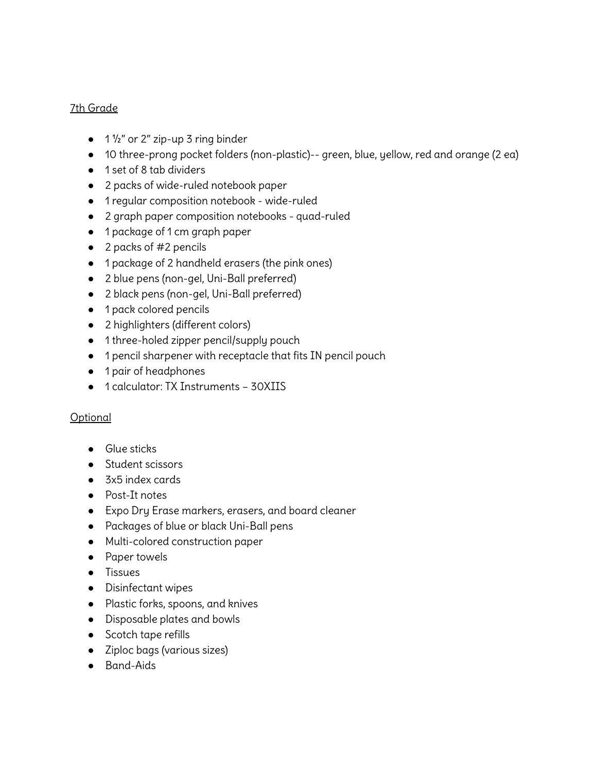- $\bullet$  1  $\frac{1}{2}$ " or 2" zip-up 3 ring binder
- 10 three-prong pocket folders (non-plastic)-- green, blue, yellow, red and orange (2 ea)
- 1 set of 8 tab dividers
- 2 packs of wide-ruled notebook paper
- 1 regular composition notebook wide-ruled
- 2 graph paper composition notebooks quad-ruled
- 1 package of 1 cm graph paper
- $\bullet$  2 packs of #2 pencils
- 1 package of 2 handheld erasers (the pink ones)
- 2 blue pens (non-gel, Uni-Ball preferred)
- 2 black pens (non-gel, Uni-Ball preferred)
- 1 pack colored pencils
- 2 highlighters (different colors)
- 1 three-holed zipper pencil/supply pouch
- 1 pencil sharpener with receptacle that fits IN pencil pouch
- 1 pair of headphones
- 1 calculator: TX Instruments 30XIIS

## **Optional**

- Glue sticks
- Student scissors
- 3x5 index cards
- Post-It notes
- Expo Dry Erase markers, erasers, and board cleaner
- Packages of blue or black Uni-Ball pens
- Multi-colored construction paper
- Paper towels
- Tissues
- Disinfectant wipes
- Plastic forks, spoons, and knives
- Disposable plates and bowls
- Scotch tape refills
- Ziploc bags (various sizes)
- Band-Aids